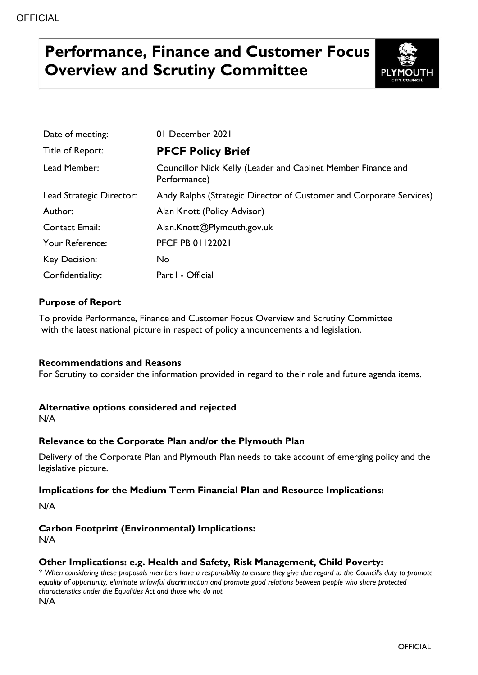# **Performance, Finance and Customer Focus Overview and Scrutiny Committee**



| Date of meeting:         | 01 December 2021                                                             |
|--------------------------|------------------------------------------------------------------------------|
| Title of Report:         | <b>PFCF Policy Brief</b>                                                     |
| Lead Member:             | Councillor Nick Kelly (Leader and Cabinet Member Finance and<br>Performance) |
| Lead Strategic Director: | Andy Ralphs (Strategic Director of Customer and Corporate Services)          |
| Author:                  | Alan Knott (Policy Advisor)                                                  |
| <b>Contact Email:</b>    | Alan.Knott@Plymouth.gov.uk                                                   |
| Your Reference:          | <b>PFCF PB 01122021</b>                                                      |
| Key Decision:            | No                                                                           |
| Confidentiality:         | Part I - Official                                                            |

### **Purpose of Report**

To provide Performance, Finance and Customer Focus Overview and Scrutiny Committee with the latest national picture in respect of policy announcements and legislation.

### **Recommendations and Reasons**

For Scrutiny to consider the information provided in regard to their role and future agenda items.

### **Alternative options considered and rejected**

N/A

### **Relevance to the Corporate Plan and/or the Plymouth Plan**

Delivery of the Corporate Plan and Plymouth Plan needs to take account of emerging policy and the legislative picture.

### **Implications for the Medium Term Financial Plan and Resource Implications:**

N/A

# **Carbon Footprint (Environmental) Implications:**

N/A

### **Other Implications: e.g. Health and Safety, Risk Management, Child Poverty:**

*\* When considering these proposals members have a responsibility to ensure they give due regard to the Council's duty to promote equality of opportunity, eliminate unlawful discrimination and promote good relations between people who share protected characteristics under the Equalities Act and those who do not.* N/A